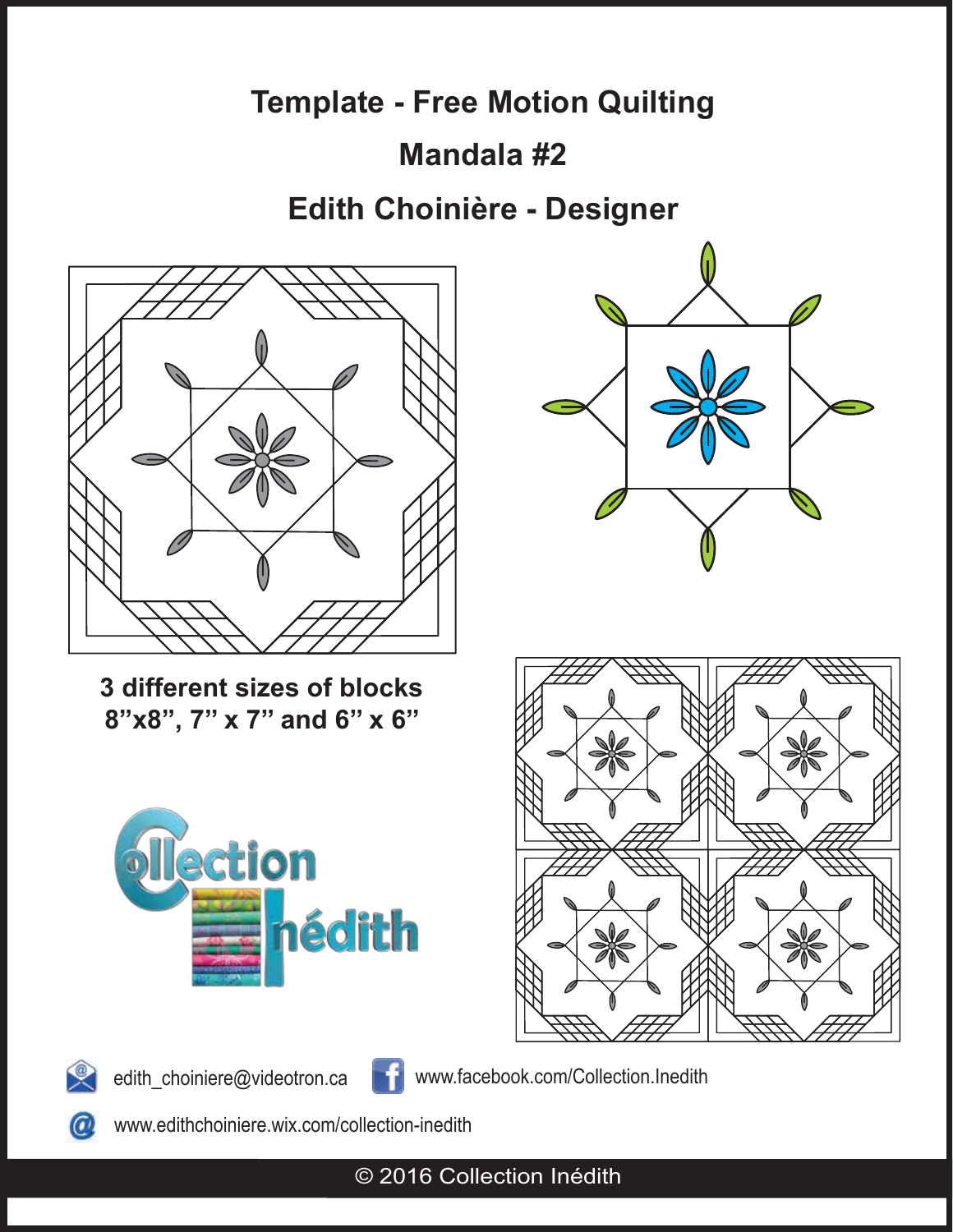## **Mandala #2**

## **Edith Choinière - Designer**



**3 different sizes of blocks 8"x8", 7'' x 7'' and 6'' x 6''**











edith\_choiniere@videotron.ca www.facebook.com/Collection.Inedith

 $\bm{\varpi}$ 

www.edithchoiniere.wix.com/collection-inedith

© 2016 Collection Inédith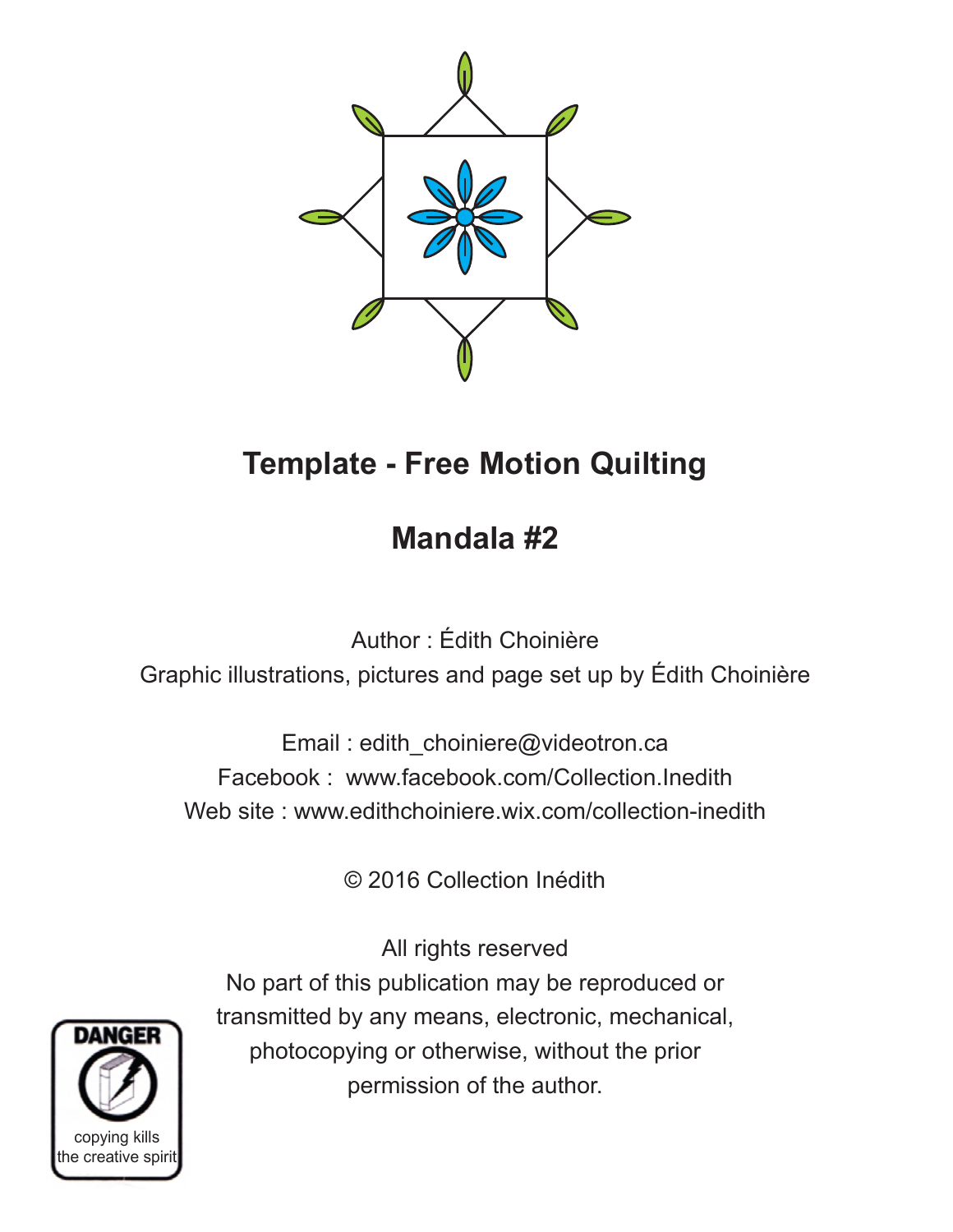

## **Mandala #2**

Author : Édith Choinière Graphic illustrations, pictures and page set up by Édith Choinière

Email : edith\_choiniere@videotron.ca Facebook : www.facebook.com/Collection.Inedith Web site : www.edithchoiniere.wix.com/collection-inedith

© 2016 Collection Inédith

All rights reserved No part of this publication may be reproduced or transmitted by any means, electronic, mechanical, photocopying or otherwise, without the prior permission of the author.

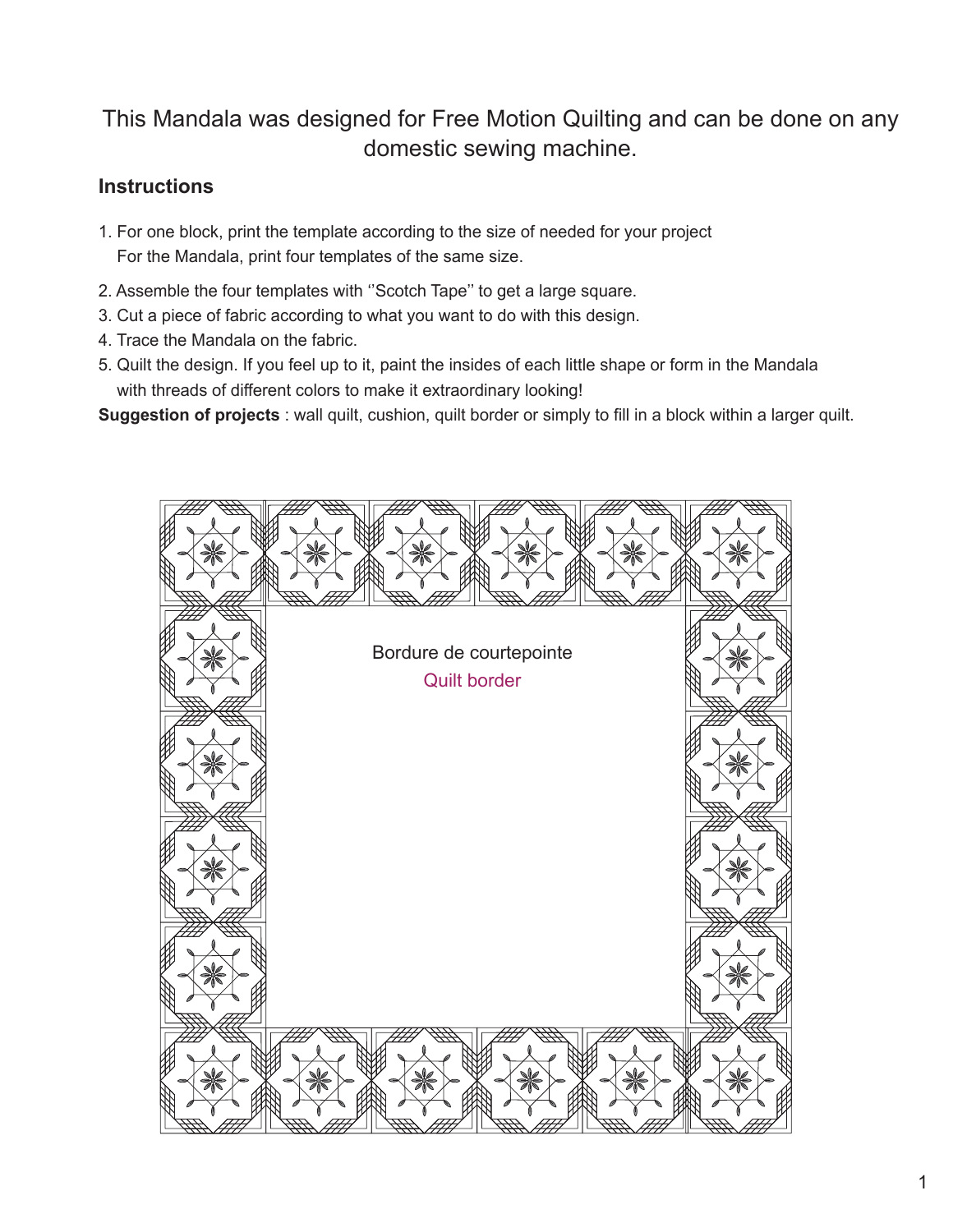### This Mandala was designed for Free Motion Quilting and can be done on any domestic sewing machine.

#### **Instructions**

- 1. For one block, print the template according to the size of needed for your project For the Mandala, print four templates of the same size.
- 2. Assemble the four templates with ''Scotch Tape'' to get a large square.
- 3. Cut a piece of fabric according to what you want to do with this design.
- 4. Trace the Mandala on the fabric.
- 5. Quilt the design. If you feel up to it, paint the insides of each little shape or form in the Mandala with threads of different colors to make it extraordinary looking!
- **Suggestion of projects** : wall quilt, cushion, quilt border or simply to fill in a block within a larger quilt.

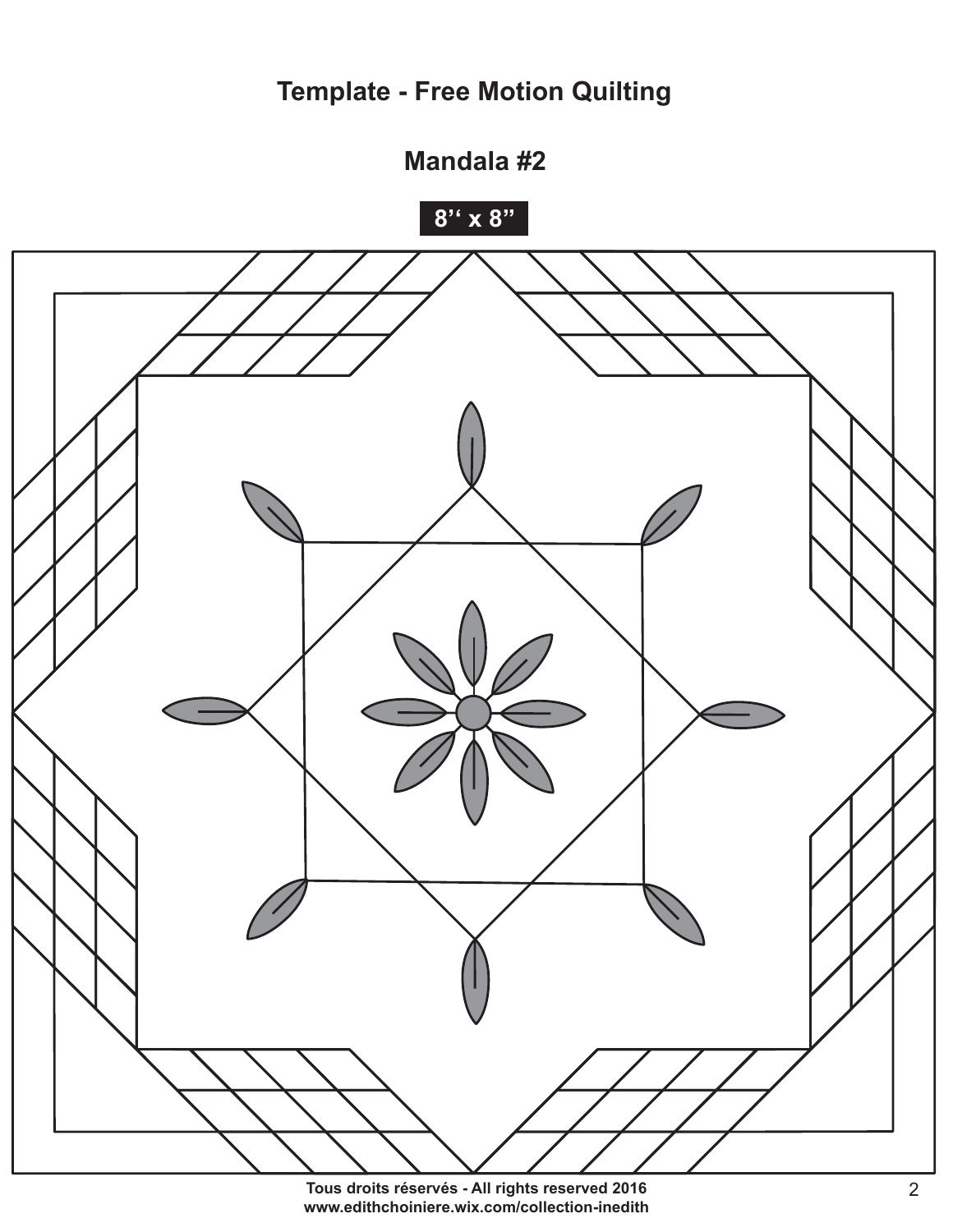

Tous droits réservés - All rights reserved 2016 www.edithchoiniere.wix.com/collection-inedith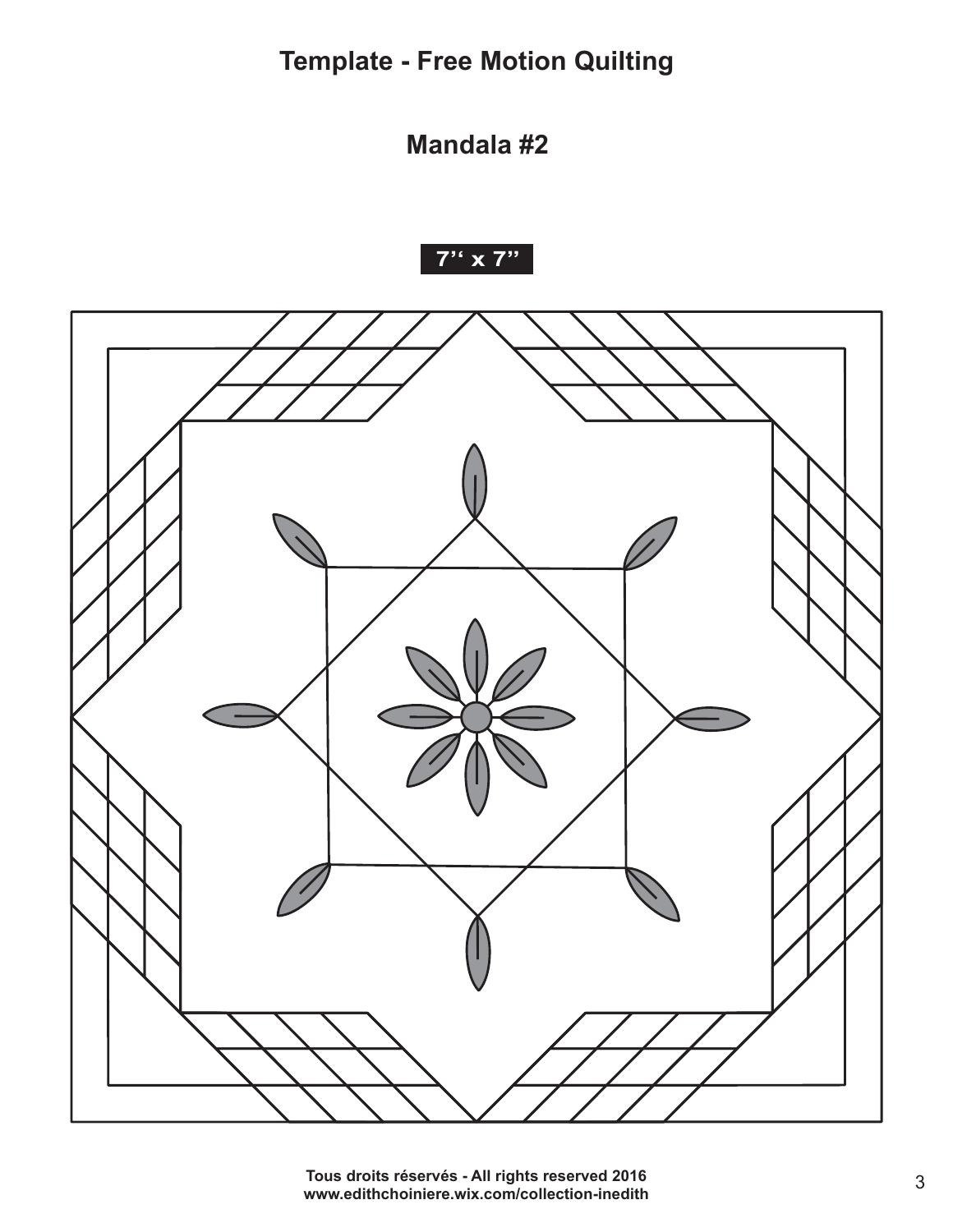**Mandala #2**



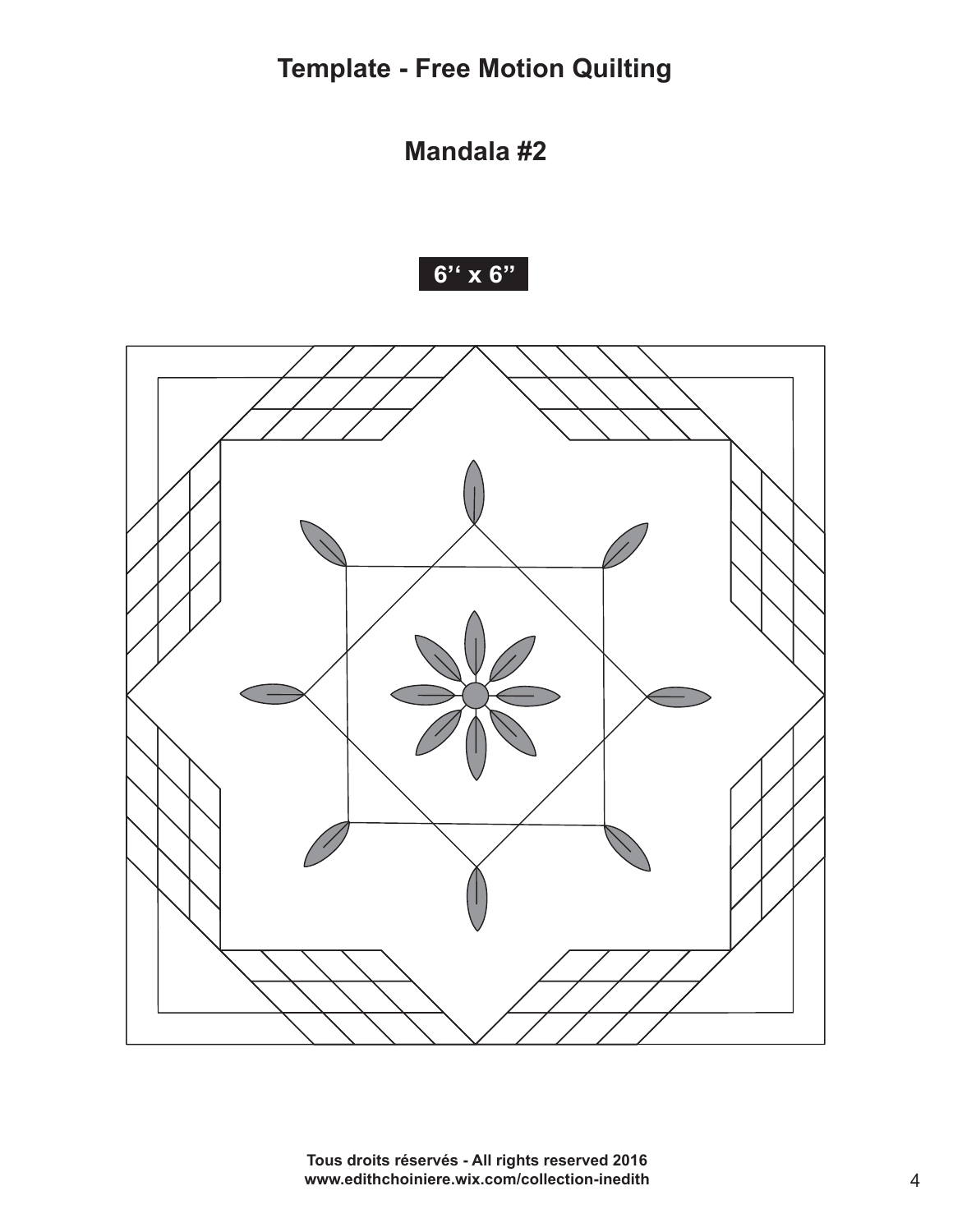**Mandala #2** 





Tous droits réservés - All rights reserved 2016 www.edithchoiniere.wix.com/collection-inedith